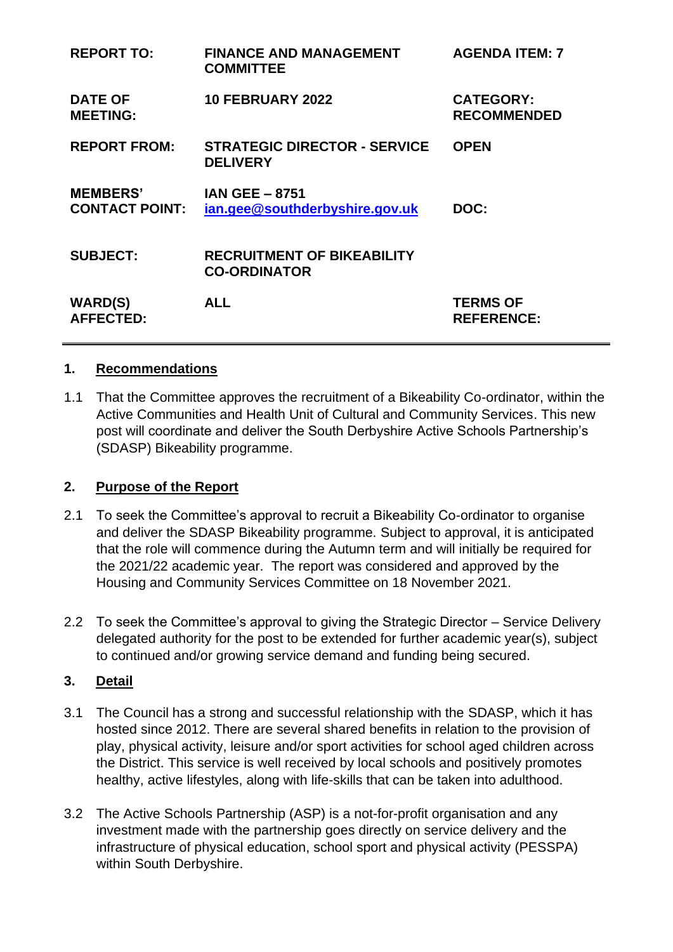| <b>REPORT TO:</b>                        | <b>FINANCE AND MANAGEMENT</b><br><b>COMMITTEE</b>        | <b>AGENDA ITEM: 7</b>                  |
|------------------------------------------|----------------------------------------------------------|----------------------------------------|
| <b>DATE OF</b><br><b>MEETING:</b>        | <b>10 FEBRUARY 2022</b>                                  | <b>CATEGORY:</b><br><b>RECOMMENDED</b> |
| <b>REPORT FROM:</b>                      | <b>STRATEGIC DIRECTOR - SERVICE</b><br><b>DELIVERY</b>   | <b>OPEN</b>                            |
| <b>MEMBERS'</b><br><b>CONTACT POINT:</b> | <b>IAN GEE - 8751</b><br>ian.gee@southderbyshire.gov.uk  | DOC:                                   |
| <b>SUBJECT:</b>                          | <b>RECRUITMENT OF BIKEABILITY</b><br><b>CO-ORDINATOR</b> |                                        |
| <b>WARD(S)</b><br><b>AFFECTED:</b>       | <b>ALL</b>                                               | <b>TERMS OF</b><br><b>REFERENCE:</b>   |

#### **1. Recommendations**

1.1 That the Committee approves the recruitment of a Bikeability Co-ordinator, within the Active Communities and Health Unit of Cultural and Community Services. This new post will coordinate and deliver the South Derbyshire Active Schools Partnership's (SDASP) Bikeability programme.

#### **2. Purpose of the Report**

- 2.1 To seek the Committee's approval to recruit a Bikeability Co-ordinator to organise and deliver the SDASP Bikeability programme. Subject to approval, it is anticipated that the role will commence during the Autumn term and will initially be required for the 2021/22 academic year. The report was considered and approved by the Housing and Community Services Committee on 18 November 2021.
- 2.2 To seek the Committee's approval to giving the Strategic Director Service Delivery delegated authority for the post to be extended for further academic year(s), subject to continued and/or growing service demand and funding being secured.

#### **3. Detail**

- 3.1 The Council has a strong and successful relationship with the SDASP, which it has hosted since 2012. There are several shared benefits in relation to the provision of play, physical activity, leisure and/or sport activities for school aged children across the District. This service is well received by local schools and positively promotes healthy, active lifestyles, along with life-skills that can be taken into adulthood.
- 3.2 The Active Schools Partnership (ASP) is a not-for-profit organisation and any investment made with the partnership goes directly on service delivery and the infrastructure of physical education, school sport and physical activity (PESSPA) within South Derbyshire.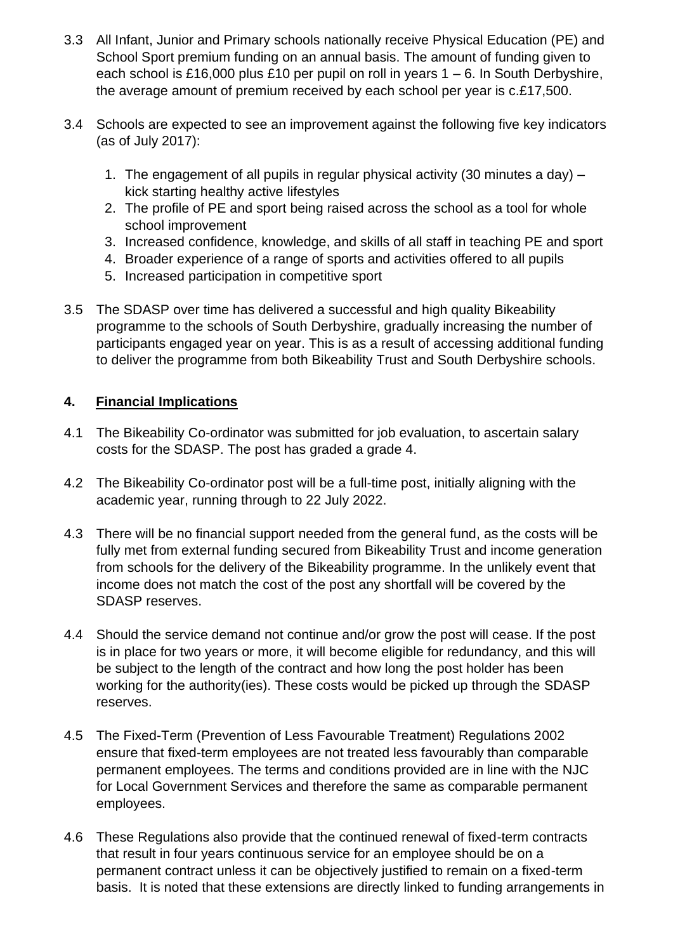- 3.3 All Infant, Junior and Primary schools nationally receive Physical Education (PE) and School Sport premium funding on an annual basis. The amount of funding given to each school is £16,000 plus £10 per pupil on roll in years 1 – 6. In South Derbyshire, the average amount of premium received by each school per year is c.£17,500.
- 3.4 Schools are expected to see an improvement against the following five key indicators (as of July 2017):
	- 1. The engagement of all pupils in regular physical activity (30 minutes a day) kick starting healthy active lifestyles
	- 2. The profile of PE and sport being raised across the school as a tool for whole school improvement
	- 3. Increased confidence, knowledge, and skills of all staff in teaching PE and sport
	- 4. Broader experience of a range of sports and activities offered to all pupils
	- 5. Increased participation in competitive sport
- 3.5 The SDASP over time has delivered a successful and high quality Bikeability programme to the schools of South Derbyshire, gradually increasing the number of participants engaged year on year. This is as a result of accessing additional funding to deliver the programme from both Bikeability Trust and South Derbyshire schools.

## **4. Financial Implications**

- 4.1 The Bikeability Co-ordinator was submitted for job evaluation, to ascertain salary costs for the SDASP. The post has graded a grade 4.
- 4.2 The Bikeability Co-ordinator post will be a full-time post, initially aligning with the academic year, running through to 22 July 2022.
- 4.3 There will be no financial support needed from the general fund, as the costs will be fully met from external funding secured from Bikeability Trust and income generation from schools for the delivery of the Bikeability programme. In the unlikely event that income does not match the cost of the post any shortfall will be covered by the SDASP reserves.
- 4.4 Should the service demand not continue and/or grow the post will cease. If the post is in place for two years or more, it will become eligible for redundancy, and this will be subject to the length of the contract and how long the post holder has been working for the authority(ies). These costs would be picked up through the SDASP reserves.
- 4.5 The Fixed-Term (Prevention of Less Favourable Treatment) Regulations 2002 ensure that fixed-term employees are not treated less favourably than comparable permanent employees. The terms and conditions provided are in line with the NJC for Local Government Services and therefore the same as comparable permanent employees.
- 4.6 These Regulations also provide that the continued renewal of fixed-term contracts that result in four years continuous service for an employee should be on a permanent contract unless it can be objectively justified to remain on a fixed-term basis. It is noted that these extensions are directly linked to funding arrangements in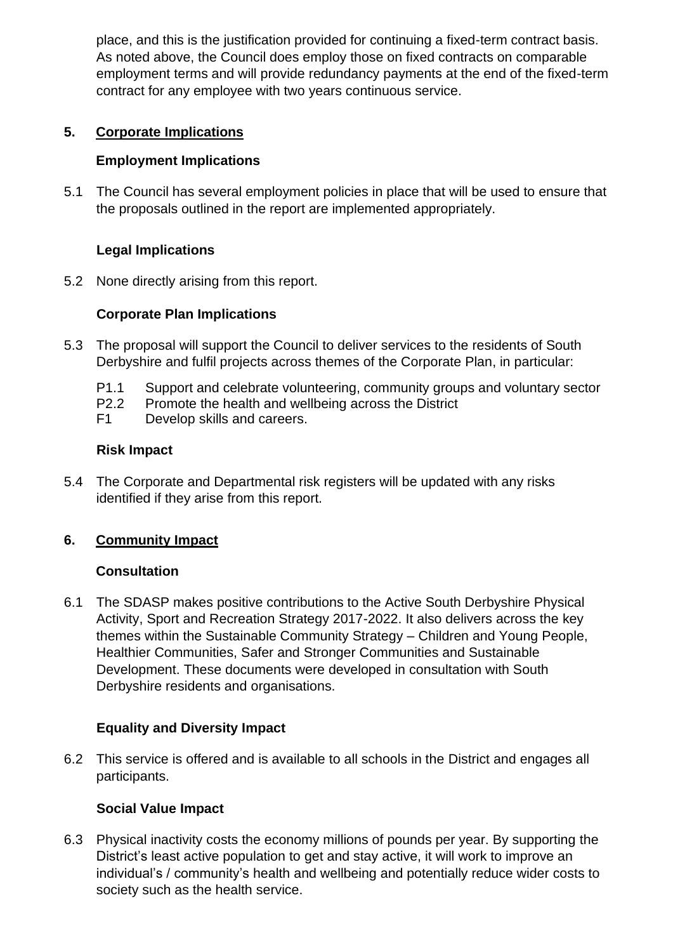place, and this is the justification provided for continuing a fixed-term contract basis. As noted above, the Council does employ those on fixed contracts on comparable employment terms and will provide redundancy payments at the end of the fixed-term contract for any employee with two years continuous service.

## **5. Corporate Implications**

### **Employment Implications**

5.1 The Council has several employment policies in place that will be used to ensure that the proposals outlined in the report are implemented appropriately.

## **Legal Implications**

5.2 None directly arising from this report.

## **Corporate Plan Implications**

- 5.3 The proposal will support the Council to deliver services to the residents of South Derbyshire and fulfil projects across themes of the Corporate Plan, in particular:
	- P1.1 Support and celebrate volunteering, community groups and voluntary sector
	- P2.2 Promote the health and wellbeing across the District
	- F1 Develop skills and careers.

## **Risk Impact**

5.4 The Corporate and Departmental risk registers will be updated with any risks identified if they arise from this report.

# **6. Community Impact**

#### **Consultation**

6.1 The SDASP makes positive contributions to the Active South Derbyshire Physical Activity, Sport and Recreation Strategy 2017-2022. It also delivers across the key themes within the Sustainable Community Strategy – Children and Young People, Healthier Communities, Safer and Stronger Communities and Sustainable Development. These documents were developed in consultation with South Derbyshire residents and organisations.

# **Equality and Diversity Impact**

6.2 This service is offered and is available to all schools in the District and engages all participants.

# **Social Value Impact**

6.3 Physical inactivity costs the economy millions of pounds per year. By supporting the District's least active population to get and stay active, it will work to improve an individual's / community's health and wellbeing and potentially reduce wider costs to society such as the health service.